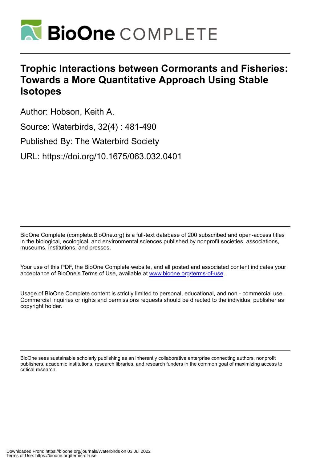

# **Trophic Interactions between Cormorants and Fisheries: Towards a More Quantitative Approach Using Stable Isotopes**

Author: Hobson, Keith A.

Source: Waterbirds, 32(4) : 481-490

Published By: The Waterbird Society

URL: https://doi.org/10.1675/063.032.0401

BioOne Complete (complete.BioOne.org) is a full-text database of 200 subscribed and open-access titles in the biological, ecological, and environmental sciences published by nonprofit societies, associations, museums, institutions, and presses.

Your use of this PDF, the BioOne Complete website, and all posted and associated content indicates your acceptance of BioOne's Terms of Use, available at www.bioone.org/terms-of-use.

Usage of BioOne Complete content is strictly limited to personal, educational, and non - commercial use. Commercial inquiries or rights and permissions requests should be directed to the individual publisher as copyright holder.

BioOne sees sustainable scholarly publishing as an inherently collaborative enterprise connecting authors, nonprofit publishers, academic institutions, research libraries, and research funders in the common goal of maximizing access to critical research.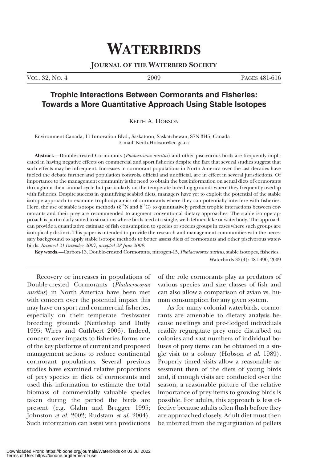# **WATERBIRDS**

### **JOURNAL OF THE WATERBIRD SOCIETY**

VOL. 32, NO. 4 2009 PAGES 481-616

## **Trophic Interactions Between Cormorants and Fisheries: Towards a More Quantitative Approach Using Stable Isotopes**

#### KEITH A. HOBSON

Environment Canada, 11 Innovation Blvd., Saskatoon, Saskatchewan, S7N 3H5, Canada E-mail: Keith.Hobson@ec.gc.ca

**Abstract.—**Double-crested Cormorants (*Phalacrcorax auritus*) and other piscivorous birds are frequently implicated in having negative effects on commercial and sport fisheries despite the fact that several studies suggest that such effects may be infrequent. Increases in cormorant populations in North America over the last decades have fueled the debate further and population controls, official and unofficial, are in effect in several jurisdictions. Of importance to the management community is the need to obtain the best information on actual diets of cormorants throughout their annual cycle but particularly on the temperate breeding grounds where they frequently overlap with fisheries. Despite success in quantifying seabird diets, managers have yet to exploit the potential of the stable isotope approach to examine trophodynamics of cormorants where they can potentially interfere with fisheries. Here, the use of stable isotope methods ( $\delta^{15}N$  and  $\delta^{13}C$ ) to quantitatively predict trophic interactions between cormorants and their prey are recommended to augment conventional dietary approaches. The stable isotope approach is particularly suited to situations where birds feed at a single, well-defined lake or waterbody. The approach can provide a quantitative estimate of fish consumption to species or species groups in cases where such groups are isotopically distinct. This paper is intended to provide the research and management communities with the necessary background to apply stable isotope methods to better assess diets of cormorants and other piscivorous waterbirds. *Received 21 December 2007, accepted 28 June 2009.*

**Key words.—**Carbon-13, Double-crested Cormorants, nitrogen-15, *Phalacrocorax auritus*, stable isotopes, fisheries. Waterbirds 32(4): 481-490, 2009

Recovery or increases in populations of Double-crested Cormorants (*Phalacrocorax auritus*) in North America have been met with concern over the potential impact this may have on sport and commercial fisheries, especially on their temperate freshwater breeding grounds (Nettleship and Duffy 1995; Wires and Cuthbert 2006). Indeed, concern over impacts to fisheries forms one of the key platforms of current and proposed management actions to reduce continental cormorant populations. Several previous studies have examined relative proportions of prey species in diets of cormorants and used this information to estimate the total biomass of commercially valuable species taken during the period the birds are present (e.g. Glahn and Brugger 1995; Johnston *et al*. 2002; Rudstam *et al*. 2004). Such information can assist with predictions

of the role cormorants play as predators of various species and size classes of fish and can also allow a comparison of avian vs. human consumption for any given system.

As for many colonial waterbirds, cormorants are amenable to dietary analysis because nestlings and pre-fledged individuals readily regurgitate prey once disturbed on colonies and vast numbers of individual boluses of prey items can be obtained in a single visit to a colony (Hobson *et al*. 1989). Properly timed visits allow a reasonable assessment then of the diets of young birds and, if enough visits are conducted over the season, a reasonable picture of the relative importance of prey items to growing birds is possible. For adults, this approach is less effective because adults often flush before they are approached closely. Adult diet must then be inferred from the regurgitation of pellets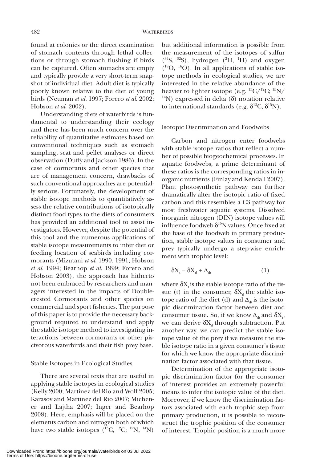found at colonies or the direct examination of stomach contents through lethal collections or through stomach flushing if birds can be captured. Often stomachs are empty and typically provide a very short-term snapshot of individual diet. Adult diet is typically poorly known relative to the diet of young birds (Neuman *et al.* 1997; Forero *et al*. 2002; Hobson *et al*. 2002).

Understanding diets of waterbirds is fundamental to understanding their ecology and there has been much concern over the reliability of quantitative estimates based on conventional techniques such as stomach sampling, scat and pellet analyses or direct observation (Duffy and Jackson 1986). In the case of cormorants and other species that are of management concern, drawbacks of such conventional approaches are potentially serious. Fortunately, the development of stable isotope methods to quantitatively assess the relative contributions of isotopically distinct food types to the diets of consumers has provided an additional tool to assist investigators. However, despite the potential of this tool and the numerous applications of stable isotope measurements to infer diet or feeding location of seabirds including cormorants (Mizutani *et al*. 1990, 1991; Hobson *et al*. 1994; Bearhop *et al*. 1999; Forero and Hobson 2003), the approach has hitherto not been embraced by researchers and managers interested in the impacts of Doublecrested Cormorants and other species on commercial and sport fisheries. The purpose of this paper is to provide the necessary background required to understand and apply the stable isotope method to investigating interactions between cormorants or other piscivorous waterbirds and their fish prey base.

#### Stable Isotopes in Ecological Studies

There are several texts that are useful in applying stable isotopes in ecological studies (Kelly 2000; Martinez del Rio and Wolf 2005; Karasov and Martinez del Rio 2007; Michener and Lajtha 2007; Inger and Bearhop 2008). Here, emphasis will be placed on the elements carbon and nitrogen both of which have two stable isotopes  $(^{13}C, ^{12}C; ^{15}N, ^{14}N)$  but additional information is possible from the measurement of the isotopes of sulfur  $(^{34}S, ^{32}S)$ , hydrogen  $(^{2}H, ^{1}H)$  and oxygen  $(^{18}O, ^{16}O)$ . In all applications of stable isotope methods in ecological studies, we are interested in the relative abundance of the heavier to lighter isotope (e.g.  ${}^{13}C/{}^{12}C; {}^{15}N/$ <sup>14</sup>N) expressed in delta (δ) notation relative to international standards (e.g.  $\delta^{13}$ C,  $\delta^{15}$ N).

Isotopic Discrimination and Foodwebs

Carbon and nitrogen enter foodwebs with stable isotope ratios that reflect a number of possible biogeochemical processes. In aquatic foodwebs, a prime determinant of these ratios is the corresponding ratios in inorganic nutrients (Finlay and Kendall 2007). Plant photosynthetic pathway can further dramatically alter the isotopic ratio of fixed carbon and this resembles a C3 pathway for most freshwater aquatic systems. Dissolved inorganic nitrogen (DIN) isotope values will influence foodweb  $\delta^{15}N$  values. Once fixed at the base of the foodweb in primary production, stable isotope values in consumer and prey typically undergo a step-wise enrichment with trophic level:

$$
\delta X_{t} = \delta X_{d} + \Delta_{dt} \tag{1}
$$

where  $\delta X_t$  is the stable isotope ratio of the tissue (t) in the consumer,  $\delta X_d$  the stable isotope ratio of the diet (d) and  $\Delta_{\rm dt}$  is the isotopic discrimination factor between diet and consumer tissue. So, if we know  $\Delta_{\rm dt}$  and  $\delta X_{\rm t}$ , we can derive  $\delta X_d$  through subtraction. Put another way, we can predict the stable isotope value of the prey if we measure the stable isotope ratio in a given consumer's tissue for which we know the appropriate discrimination factor associated with that tissue.

Determination of the appropriate isotopic discrimination factor for the consumer of interest provides an extremely powerful means to infer the isotopic value of the diet. Moreover, if we know the discrimination factors associated with each trophic step from primary production, it is possible to reconstruct the trophic position of the consumer of interest. Trophic position is a much more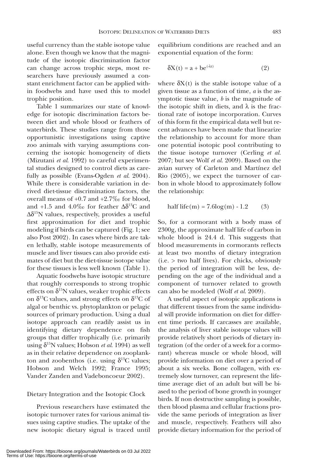useful currency than the stable isotope value alone. Even though we know that the magnitude of the isotopic discrimination factor can change across trophic steps, most researchers have previously assumed a constant enrichment factor can be applied within foodwebs and have used this to model trophic position.

Table 1 summarizes our state of knowledge for isotopic discrimination factors between diet and whole blood or feathers of waterbirds. These studies range from those opportunistic investigations using captive zoo animals with varying assumptions concerning the isotopic homogeneity of diets (Mizutani *et al*. 1992) to careful experimental studies designed to control diets as carefully as possible (Evans-Ogden *et al*. 2004). While there is considerable variation in derived diet-tissue discrimination factors, the overall means of +0.7 and +2.7‰ for blood, and +1.5 and  $4.0\%$  for feather  $\Delta\delta^{13}$ C and  $\Delta \delta^{15}$ N values, respectively, provides a useful first approximation for diet and trophic modeling if birds can be captured (Fig. 1; see also Post 2002). In cases where birds are taken lethally, stable isotope measurements of muscle and liver tissues can also provide estimates of diet but the diet-tissue isotope value for these tissues is less well known (Table 1).

Aquatic foodwebs have isotopic structure that roughly corresponds to strong trophic effects on  $\delta^{15}$ N values, weaker trophic effects on  $\delta^{13}$ C values, and strong effects on  $\delta^{13}$ C of algal or benthic vs. phytoplankton or pelagic sources of primary production. Using a dual isotope approach can readily assist us in identifying dietary dependence on fish groups that differ trophically (i.e. primarily using  $\delta^{15}$ N values; Hobson *et al.* 1994) as well as in their relative dependence on zooplankton and zoobenthos (i.e. using  $\delta^{13}$ C values; Hobson and Welch 1992; France 1995; Vander Zanden and Vadeboncoeur 2002).

#### Dietary Integration and the Isotopic Clock

Previous researchers have estimated the isotopic turnover rates for various animal tissues using captive studies. The uptake of the new isotopic dietary signal is traced until equilibrium conditions are reached and an exponential equation of the form:

$$
\delta X(t) = a + b e^{(\lambda t)} \tag{2}
$$

where  $\delta X(t)$  is the stable isotope value of a given tissue as a function of time, *a* is the asymptotic tissue value, *b* is the magnitude of the isotopic shift in diets, and  $\lambda$  is the fractional rate of isotope incorporation. Curves of this form fit the empirical data well but recent advances have been made that linearize the relationship to account for more than one potential isotopic pool contributing to the tissue isotope turnover (Cerling *et al.* 2007; but see Wolf *et al*. 2009). Based on the avian survey of Carleton and Martínez del Rio (2005), we expect the turnover of carbon in whole blood to approximately follow the relationship:

half life(m) = 
$$
7.6 \log(m) - 1.2
$$
 (3)

So, for a cormorant with a body mass of 2300g, the approximate half life of carbon in whole blood is 24.4 d. This suggests that blood measurements in cormorants reflects at least two months of dietary integration (i.e. > two half lives). For chicks, obviously the period of integration will be less, depending on the age of the individual and a component of turnover related to growth can also be modeled (Wolf *et al*. 2009).

A useful aspect of isotopic applications is that different tissues from the same individual will provide information on diet for different time periods. If carcasses are available, the analysis of liver stable isotope values will provide relatively short periods of dietary integration (of the order of a week for a cormorant) whereas muscle or whole blood, will provide information on diet over a period of about a six weeks. Bone collagen, with extremely slow turnover, can represent the lifetime average diet of an adult but will be biased to the period of bone growth in younger birds. If non destructive sampling is possible, then blood plasma and cellular fractions provide the same periods of integration as liver and muscle, respectively. Feathers will also provide dietary information for the period of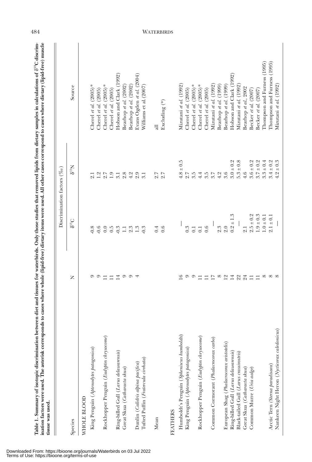|                                              |                       |                         | Discrimination factors $(\%_0)$           |                                                   |
|----------------------------------------------|-----------------------|-------------------------|-------------------------------------------|---------------------------------------------------|
| Species                                      | z                     | $8^{13}C$               | $N_{\rm g1}$                              | Source                                            |
| WHOLE BLOOD                                  |                       |                         |                                           |                                                   |
| King Penguin (Aptenodytes patagonica)        |                       |                         | 2.1                                       | Cherel et al. $(2005)$ *                          |
|                                              | $\circ$               | $-0.6$                  |                                           | (2005)<br>Cherel et al.                           |
| Rockhopper Penguin (Eudyptes chrysocome)     | $\Xi$                 | $0.59$<br>$0.59$        | $1.301$<br>$1.913$                        | Cherel et al. $(2005)$ *                          |
| Ring-billed Gull (Larus delawarensis)        | 14<br>$\Box$          |                         |                                           | Hobson and Clark (1992)<br>Cherel et al. $(2005)$ |
| Great Skua (Catharacta skua)                 |                       | $\Box$                  |                                           | Bearhop et al. (2002)                             |
|                                              | $\sigma$ $\sigma$ $+$ |                         |                                           | Bearhop et al. (2002)                             |
| Dunlin (Calidris alpina pacifica)            |                       | $2.3$<br>$1.3$          |                                           | Evans Ogden et al. (2004)                         |
| Tufted Puffin (Fratercula cirrhata)          |                       | $-0.3$                  |                                           | Williams et al. (2007)                            |
| Mean                                         |                       | 0.4                     |                                           | $\exists$                                         |
|                                              |                       | 0.6                     | $\frac{2.7}{2.7}$                         | $\text{Excluding } (*)$                           |
| <b>FEATHERS</b>                              |                       |                         |                                           |                                                   |
| Humboldt's Penguin (Spheniscus humboldti)    | $\overline{16}$       |                         | $\tilde{0}$<br>$+$<br>4.8                 | Mizutani et al. $(1992)$                          |
| King Penguin (Aptenodytes patagonica)        | $\circ$               | 0.3                     | $\begin{array}{c} 2.5 \\ 3.5 \end{array}$ | Cherel et al. $(2005)$                            |
|                                              | $\circ$               | 0.1                     |                                           | ⋇<br>Cherel et al. $(2005)$                       |
| Rockhopper Penguin (Eudyptes chrysocome)     | $\Box$                | 0.1                     | 4.4                                       | Cherel et al. $(2005)$ *                          |
|                                              | $\Box$                | 0.6                     | $\begin{array}{c} 2.5 \\ 2.7 \end{array}$ | Cherel et al. $(2005)$                            |
| Common Cormorant (Phalacrocorax carbo)       | $\overline{17}$       |                         |                                           | Mizutani et al. (1992)                            |
|                                              | $\infty$              | 2.3                     | 4.2                                       | Bearhop et al. (1999)                             |
| European Shag (Phalacrocorax aristotelis)    | 12                    | 2.0                     | 3.6                                       | Bearhop et al. (1999)                             |
| Ring-billed Gull (Larus delawarensis)        | 14                    | 1.3<br>$\ddot{}$<br>0.2 | 0.2<br>$3.0 \pm$                          | Hobson and Clark (1992)                           |
| Black-tailed Gull (Larus crassirostris)      | 22                    |                         | 0.8<br>$+$<br>5.3                         | Mizutani et al. $(1992)$                          |
| Great Skua (Catharacta skua)                 | 24                    | 2.1                     | 4.6                                       | Bearhop et al., 2002                              |
| Common Murre (Uria aalge)                    | $\Xi$                 | $2.5 \pm 0.2$           | 0.2<br>$3.6 \pm 1$                        | Becker et al. (2007)                              |
|                                              | $\Box$                | $1.9 \pm 0.3$           | $\pm$ 0.2<br>3.7                          | Becker et al. (2007                               |
|                                              | $\infty$              | $1.0 \pm 0.1$           | $\pm$ 0.4<br>3.3                          | Thompson and Furness (1995)                       |
| Arctic Tern (Sterna paradisaea)              | $^{\circ}$            | $2.1 \pm 0.1$           | $\pm$ 0.2<br>3.4                          | (1995)<br>Thompson and Furness                    |
| Nankeen Night Heron (Nycticorax caledonicus) | 8                     |                         | $\pm$ 0.3<br>Q,                           | Mizutani et al. (1992)                            |

484 WATERBIRDS

# Downloaded From: https://bioone.org/journals/Waterbirds on 03 Jul 2022 Terms of Use: https://bioone.org/terms-of-use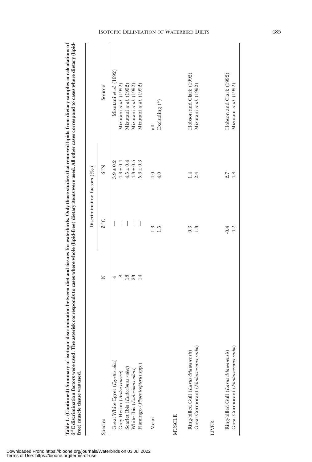| free) muscle tissue was used.                                                  |    | $\vdots$                 |                                 | $\frac{1}{2}$                                     |  |
|--------------------------------------------------------------------------------|----|--------------------------|---------------------------------|---------------------------------------------------|--|
|                                                                                |    |                          | Discrimination factors $(\%_0)$ |                                                   |  |
| Species                                                                        | Z  | $5^{13}C$                | $N_{\rm GI}$                    | Source                                            |  |
|                                                                                |    | $\overline{\phantom{a}}$ | $3.9 \pm 0.2$                   | Mizutani et al. (1992)                            |  |
| Great White Egret (Egretta alba)<br>Grey Heron (Ardea cinerea)                 | ∞  | I                        | $4.3 \pm 0.4$                   | Mizutani et al. (1992)                            |  |
| Scarlet Ibis (Eudocimus ruber)<br>White Ibis (Eudocimus albus)                 | 18 | I                        | $4.5 \pm 0.4$                   | Mizutani et al. (1992)                            |  |
|                                                                                | 23 | $\overline{\phantom{a}}$ | $4.3 \pm 0.5$                   | Mizutani et al. (1992)                            |  |
| Flamingo (Phoenicopterus spp.)                                                 | 14 | I                        | $5.6 \pm 0.3$                   | Mizutani et al. (1992)                            |  |
| Mean                                                                           |    |                          | $4.0$                           | $\overline{a}$                                    |  |
|                                                                                |    | 1.5                      | 4.0                             | Excluding $(*)$                                   |  |
| <b>MUSCLE</b>                                                                  |    |                          |                                 |                                                   |  |
| Great Cormorant (Phalacrocorax carbo)<br>Ring-billed Gull (Larus delawarensis) |    | 0.3<br>1.3               | 1.4<br>2.4                      | Hobson and Clark (1992)<br>Mizutani et al. (1992) |  |
| LIVER                                                                          |    |                          |                                 |                                                   |  |
| Great Cormorant (Phalacrocorax carbo)<br>Ring-billed Gull (Larus delawarensis) |    | $-0.4$<br>4.2            | 2.7<br>4.8                      | Hobson and Clark (1992)<br>Mizutani et al. (1992) |  |

Table 1. (Continued) Summary of isotopic discrimination between diet and tissues for waterbirds. Only those studies that removed lipids from dietary samples in calculations of  $\delta^{18}$ C discrimination factors were used. T **Table 1. (Continued) Summary of isotopic discrimination between diet and tissues for waterbirds. Only those studies that removed lipids from dietary samples in calculations of** δ**13C discrimination factors were used. The asterisk corresponds to cases where whole (lipid-free) dietary items were used. All other cases correspond to cases where dietary (lipid-** ISOTOPIC DELINEATION OF WATERBIRD DIETS 485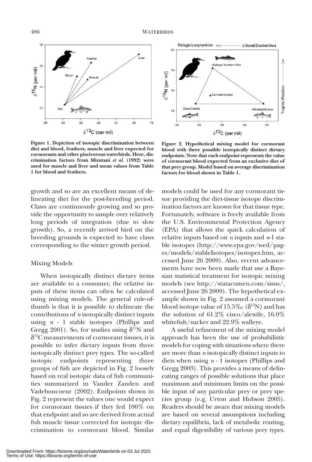

**Figure 1. Depiction of isotopic discrimination between diet and blood, feathers, muscle and liver expected for cormorants and other piscivorous waterbirds. Here, discrimination factors from Mizutani** *et al.* **(1992) were used for muscle and liver and mean values from Table 1 for blood and feathers.**

growth and so are an excellent means of delineating diet for the post-breeding period. Claws are continuously growing and so provide the opportunity to sample over relatively long periods of integration (due to slow growth). So, a recently arrived bird on the breeding grounds is expected to have claws corresponding to the winter growth period.

#### Mixing Models

When isotopically distinct dietary items are available to a consumer, the relative inputs of these items can often be calculated using mixing models. The general rule-ofthumb is that it is possible to delineate the contributions of *n* isotopically distinct inputs using *n* - 1 stable isotopes (Phillips and Gregg 2001). So, for studies using  $\delta^{15}N$  and  $\delta^{13}$ C measurements of cormorant tissues, it is possible to infer dietary inputs from three isotopically distinct prey types. The so-called isotopic endpoints representing three groups of fish are depicted in Fig. 2 loosely based on real isotopic data of fish communities summarized in Vander Zanden and Vadeboncoeur (2002). Endpoints shown in Fig. 2 represent the values one would expect for cormorant tissues if they fed 100% on that endpoint and so are derived from actual fish muscle tissue corrected for isotopic discrimination to cormorant blood. Similar



**Figure 2. Hypothetical mixing model for cormorant blood with three possible isotopically distinct dietary endpoints. Note that each endpoint represents the value of cormorant blood expected from an exclusive diet of that prey group. Model based on average discrimination factors for blood shown in Table 1.**

models could be used for any cormorant tissue providing the diet-tissue isotope discrimination factors are known for that tissue type. Fortunately, software is freely available from the U.S. Environmental Protection Agency (EPA) that allows the quick calculation of relative inputs based on *n* inputs and *n*-1 stable isotopes (http://www.epa.gov/wed/pages/models/stableIsotopes/isotopes.htm, accessed June 26 2009). Also, recent advancements have now been made that use a Bayesian statistical treatment for isotopic mixing models (see http://statacumen.com/sisus/, accessed June 26 2009). The hypothetical example shown in Fig. 2 assumed a cormorant blood isotope value of 15.5‰ ( $\delta^{15}N$ ) and has the solution of 61.2% cisco/alewife, 16.0% whitefish/sucker and 22.9% walleye.

A useful refinement of the mixing model approach has been the use of probabilistic models for coping with situations where there are more than *n* isotopically distinct inputs to diets when using *n* - 1 isotopes (Phillips and Gregg 2003). This provides a means of delineating ranges of possible solutions that place maximum and minimum limits on the possible input of any particular prey or prey species group (e.g. Urton and Hobson 2005). Readers should be aware that mixing models are based on several assumptions including dietary equilibria, lack of metabolic routing, and equal digestibility of various prey types.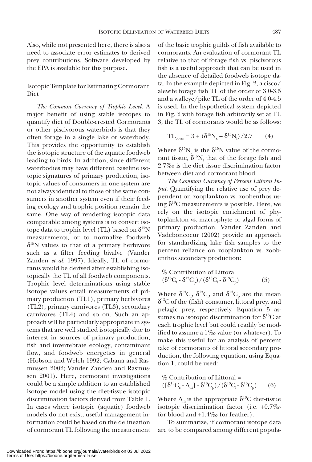Also, while not presented here, there is also a need to associate error estimates to derived prey contributions. Software developed by the EPA is available for this purpose.

Isotopic Template for Estimating Cormorant Diet

*The Common Currency of Trophic Level.* A major benefit of using stable isotopes to quantify diet of Double-crested Cormorants or other piscivorous waterbirds is that they often forage in a single lake or waterbody. This provides the opportunity to establish the isotopic structure of the aquatic foodweb leading to birds. In addition, since different waterbodies may have different baseline isotopic signatures of primary production, isotopic values of consumers in one system are not always identical to those of the same consumers in another system even if their feeding ecology and trophic position remain the same. One way of rendering isotopic data comparable among systems is to convert isotope data to trophic level (TL) based on  $\delta^{15}N$ measurements, or to normalize foodweb  $\delta^{15}$ N values to that of a primary herbivore such as a filter feeding bivalve (Vander Zanden *et al.* 1997). Ideally, TL of cormorants would be derived after establishing isotopically the TL of all foodweb components. Trophic level determinations using stable isotope values entail measurements of primary production (TL1), primary herbivores (TL2), primary carnivores (TL3), secondary carnivores (TL4) and so on. Such an approach will be particularly appropriate in systems that are well studied isotopically due to interest in sources of primary production, fish and invertebrate ecology, contaminant flow, and foodweb energetics in general (Hobson and Welch 1992; Cabana and Rasmussen 2002; Vander Zanden and Rasmussen 2001). Here, cormorant investigations could be a simple addition to an established isotope model using the diet-tissue isotopic discrimination factors derived from Table 1. In cases where isotopic (aquatic) foodweb models do not exist, useful management information could be based on the delineation of cormorant TL following the measurement

of the basic trophic guilds of fish available to cormorants. An evaluation of cormorant TL relative to that of forage fish vs. piscivorous fish is a useful approach that can be used in the absence of detailed foodweb isotope data. In the example depicted in Fig. 2, a cisco/ alewife forage fish TL of the order of 3.0-3.5 and a walleye/pike TL of the order of 4.0-4.5 is used. In the hypothetical system depicted in Fig. 2 with forage fish arbitrarily set at TL 3, the TL of cormorants would be as follows:

$$
TL_{\text{comm}} = 3 + (\delta^{15} N_c - \delta^{15} N_f)/2.7
$$
 (4)

Where  $\delta^{15}N_c$  is the  $\delta^{15}N$  value of the cormorant tissue,  $\delta^{15}N_f$  that of the forage fish and 2.7‰ is the diet-tissue discrimination factor between diet and cormorant blood.

*The Common Currency of Percent Littoral Input*. Quantifying the relative use of prey dependent on zooplankton vs. zoobenthos using  $\delta^{13}$ C measurements is possible. Here, we rely on the isotopic enrichment of phytoplankton vs. macrophyte or algal forms of primary production. Vander Zanden and Vadeboncoeur (2002) provide an approach for standardizing lake fish samples to the percent reliance on zooplankton vs. zoobenthos secondary production:

$$
\%\text{ Contribution of Littoral} =\n(\delta^{13}C_f - \delta^{13}C_p) / (\delta^{13}C_l - \delta^{13}C_p)
$$
\n(5)

Where  $\delta^{13}\text{C}_{\text{p}}$   $\delta^{13}\text{C}_{\text{p}}$  and  $\delta^{13}\text{C}_{\text{p}}$  are the mean  $\delta^{13}$ C of the (fish) consumer, littoral prey, and pelagic prey, respectively. Equation 5 assumes no isotopic discrimination for  $\delta^{13}C$  at each trophic level but could readily be modified to assume a 1‰ value (or whatever). To make this useful for an analysis of percent take of cormorants of littoral secondary production, the following equation, using Equation 1, could be used:

% Contribution of Littoral =  
\n
$$
([\delta^{13}C_c - \Delta_{dt}] - \delta^{13}C_p) / (\delta^{13}C_l - \delta^{13}C_p)
$$
 (6)

Where  $\Delta_{\text{dt}}$  is the appropriate  $\delta^{13}$ C diet-tissue isotopic discrimination factor (i.e. +0.7‰ for blood and +1.4‰ for feather).

To summarize, if cormorant isotope data are to be compared among different popula-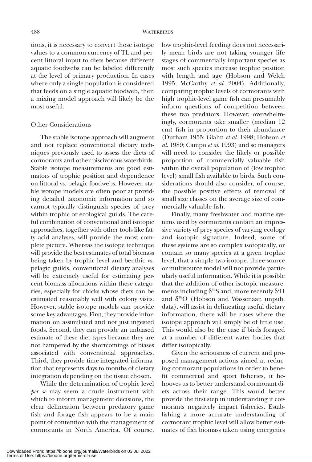tions, it is necessary to convert those isotope values to a common currency of TL and percent littoral input to diets because different aquatic foodwebs can be labeled differently at the level of primary production. In cases where only a single population is considered that feeds on a single aquatic foodweb, then a mixing model approach will likely be the most useful.

#### Other Considerations

The stable isotope approach will augment and not replace conventional dietary techniques previously used to assess the diets of cormorants and other piscivorous waterbirds. Stable isotope measurements are good estimators of trophic position and dependence on littoral vs. pelagic foodwebs. However, stable isotope models are often poor at providing detailed taxonomic information and so cannot typically distinguish species of prey within trophic or ecological guilds. The careful combination of conventional and isotopic approaches, together with other tools like fatty acid analyses, will provide the most complete picture. Whereas the isotope technique will provide the best estimates of total biomass being taken by trophic level and benthic vs. pelagic guilds, conventional dietary analyses will be extremely useful for estimating percent biomass allocations within these categories, especially for chicks whose diets can be estimated reasonably well with colony visits. However, stable isotope models can provide some key advantages. First, they provide information on assimilated and not just ingested foods. Second, they can provide an unbiased estimate of these diet types because they are not hampered by the shortcomings of biases associated with conventional approaches. Third, they provide time-integrated information that represents days to months of dietary integration depending on the tissue chosen.

While the determination of trophic level *per se* may seem a crude instrument with which to inform management decisions, the clear delineation between predatory game fish and forage fish appears to be a main point of contention with the management of cormorants in North America. Of course,

low trophic-level feeding does not necessarily mean birds are not taking younger life stages of commercially important species as most such species increase trophic position with length and age (Hobson and Welch 1995; McCarthy *et al*. 2004). Additionally, comparing trophic levels of cormorants with high trophic-level game fish can presumably inform questions of competition between these two predators. However, overwhelmingly, cormorants take smaller (median 12 cm) fish in proportion to their abundance (Durham 1955; Glahn *et al*. 1998; Hobson *et al*. 1989; Campo *et al*. 1993) and so managers will need to consider the likely or possible proportion of commercially valuable fish within the overall population of (low trophic level) small fish available to birds. Such considerations should also consider, of course, the possible positive effects of removal of small size classes on the average size of commercially valuable fish.

Finally, many freshwater and marine systems used by cormorants contain an impressive variety of prey species of varying ecology and isotopic signature. Indeed, some of these systems are so complex isotopically, or contain so many species at a given trophic level, that a simple two-isotope, three-source or multisource model will not provide particularly useful information. While it is possible that the addition of other isotopic measurements including  $\delta^{34} \text{S}$  and, more recently  $\delta^{2} \text{H}$ and  $\delta^{18}O$  (Hobson and Wassenaar, unpub. data), will assist in delineating useful dietary information, there will be cases where the isotope approach will simply be of little use. This would also be the case if birds foraged at a number of different water bodies that differ isotopically.

Given the seriousness of current and proposed management actions aimed at reducing cormorant populations in order to benefit commercial and sport fisheries, it behooves us to better understand cormorant diets across their range. This would better provide the first step in understanding if cormorants negatively impact fisheries. Establishing a more accurate understanding of cormorant trophic level will allow better estimates of fish biomass taken using energetics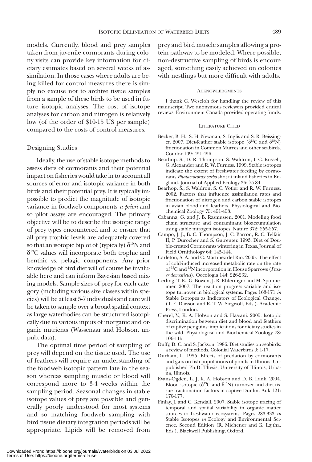models. Currently, blood and prey samples taken from juvenile cormorants during colony visits can provide key information for dietary estimates based on several weeks of assimilation. In those cases where adults are being killed for control measures there is simply no excuse not to archive tissue samples from a sample of these birds to be used in future isotopic analyses. The cost of isotope analyses for carbon and nitrogen is relatively low (of the order of \$10-15 US per sample) compared to the costs of control measures.

#### Designing Studies

Ideally, the use of stable isotope methods to assess diets of cormorants and their potential impact on fisheries would take in to account all sources of error and isotopic variance in both birds and their potential prey. It is typically impossible to predict the magnitude of isotopic variance in foodweb components *a priori* and so pilot assays are encouraged. The primary objective will be to describe the isotopic range of prey types encountered and to ensure that all prey trophic levels are adequately covered so that an isotopic biplot of (typically)  $\delta^{15}N$  and  $\delta^{13}$ C values will incorporate both trophic and benthic vs. pelagic components. Any prior knowledge of bird diet will of course be invaluable here and can inform Bayesian based mixing models. Sample sizes of prey for each category (including various size classes within species) will be at least 5-7 individuals and care will be taken to sample over a broad spatial context as large waterbodies can be structured isotopically due to various inputs of inorganic and organic nutrients (Wassenaar and Hobson, unpub. data).

The optimal time period of sampling of prey will depend on the tissue used. The use of feathers will require an understanding of the foodweb isotopic pattern late in the season whereas sampling muscle or blood will correspond more to 3-4 weeks within the sampling period. Seasonal changes in stable isotope values of prey are possible and generally poorly understood for most systems and so matching foodweb sampling with bird tissue dietary integration periods will be appropriate. Lipids will be removed from

prey and bird muscle samples allowing a protein pathway to be modeled. Where possible, non-destructive sampling of birds is encouraged, something easily achieved on colonies with nestlings but more difficult with adults.

#### **ACKNOWLEDGMENTS**

I thank C. Weseloh for handling the review of this manuscript. Two anonymous reviewers provided critical reviews. Environment Canada provided operating funds.

#### LITERATURE CITED

- Becker, B. H., S. H. Newman, S. Inglis and S. R. Beissinger. 2007. Diet-feather stable isotope (δ<sup>13</sup>C and δ<sup>15</sup>N) fractionation in Common Murres and other seabirds. Condor 109: 451-456.
- Bearhop. S., D. R. Thompson, S. Waldron, I. C. Russell, G. Alexander and R. W. Furness. 1999. Stable isotopes indicate the extent of freshwater feeding by cormorants *Phalacrocorax carbo* shot at inland fisheries in England. Journal of Applied Ecology 36: 75-84.
- Bearhop, S., S. Waldron, S. C. Votier and R. W. Furness. 2002. Factors that influence assimilation rates and fractionation of nitrogen and carbon stable isotopes in avian blood and feathers. Physiological and Biochemical Zoology 75: 451-458.
- Cabanna, G. and J. B. Rasmussen. 2001. Modeling food chain structure and contaminant bioaccumulation using stable nitrogen isotopes. Nature 372: 255-257.
- Campo, J. J., B. C. Thompson, J. C. Barron, R. C. Telfair II, P. Durocher and S. Gutreuter. 1993. Diet of Double-crested Cormorants wintering in Texas. Journal of Field Ornithology 64: 145-144.
- Carleton, S. A. and C. Martínez del Rio. 2005. The effect of cold-induced increased metabolic rate on the rate of 13C and 15N incorporation in House Sparrows (*Passer domesticus*). Oecologia 144: 226-232.
- Cerling, T. E., G. Bowen, J. R. Ehleringer and M. Sponheimer. 2007. The reaction progress variable and isotope turnover in biological systems. Pages 163-171 *in* Stable Isotopes as Indicators of Ecological Change. (T. E. Dawson and R. T. W. Siegwolf, Eds.). Academic Press, London.
- Cherel, Y., K. A. Hobson and S. Hassani. 2005. Isotopic discrimination between diet and blood and feathers of captive penguins: implications for dietary studies in the wild. Physiological and Biochemical Zoology 78: 106-115.
- Duffy, D. C. and S. Jackson. 1986. Diet studies on seabirds: a review of methods. Colonial Waterbirds 9: 1-17.
- Durham, L. 1955. Effects of predation by cormorants and gars on fish populations of ponds in Illinois. Unpublished Ph.D. Thesis, University of Illinois, Urbana, Illinois.
- Evans-Ogden, L. J, K. A. Hobson and D. B. Lank. 2004. Blood isotopic ( $\delta^{13}$ C and  $\delta^{15}$ N) turnover and diet-tissue fractionation factors in captive Dunlin. Auk 121: 170-177*.*
- Finlay, J. and C. Kendall. 2007. Stable isotope tracing of temporal and spatial variability in organic matter sources to freshwater ecosystems. Pages 283-333 *in* Stable Isotopes *in* Ecology and Environmental Science. Second Edition (R. Michener and K. Lajtha, Eds.). Blackwell Publishing, Oxford.